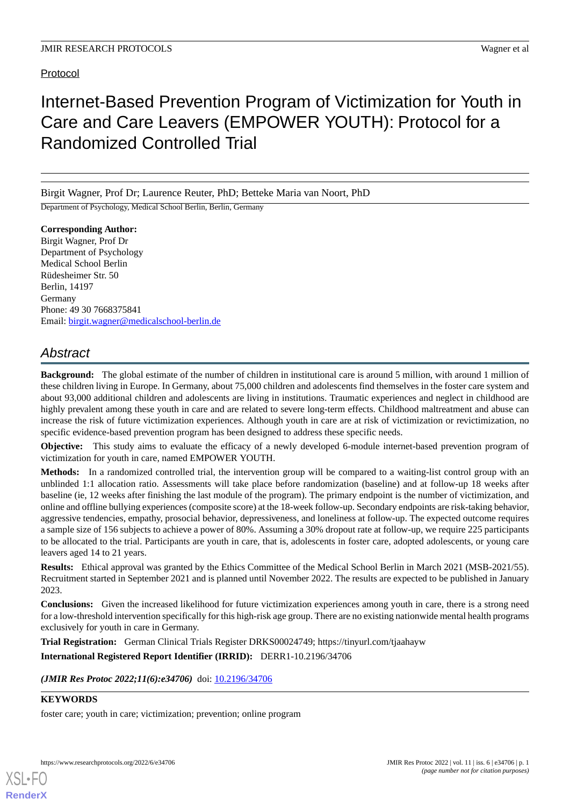## Protocol

# Internet-Based Prevention Program of Victimization for Youth in Care and Care Leavers (EMPOWER YOUTH): Protocol for a Randomized Controlled Trial

Birgit Wagner, Prof Dr; Laurence Reuter, PhD; Betteke Maria van Noort, PhD

Department of Psychology, Medical School Berlin, Berlin, Germany

**Corresponding Author:** Birgit Wagner, Prof Dr Department of Psychology Medical School Berlin Rüdesheimer Str. 50 Berlin, 14197 Germany Phone: 49 30 7668375841 Email: [birgit.wagner@medicalschool-berlin.de](mailto:birgit.wagner@medicalschool-berlin.de)

## *Abstract*

**Background:** The global estimate of the number of children in institutional care is around 5 million, with around 1 million of these children living in Europe. In Germany, about 75,000 children and adolescents find themselves in the foster care system and about 93,000 additional children and adolescents are living in institutions. Traumatic experiences and neglect in childhood are highly prevalent among these youth in care and are related to severe long-term effects. Childhood maltreatment and abuse can increase the risk of future victimization experiences. Although youth in care are at risk of victimization or revictimization, no specific evidence-based prevention program has been designed to address these specific needs.

**Objective:** This study aims to evaluate the efficacy of a newly developed 6-module internet-based prevention program of victimization for youth in care, named EMPOWER YOUTH.

**Methods:** In a randomized controlled trial, the intervention group will be compared to a waiting-list control group with an unblinded 1:1 allocation ratio. Assessments will take place before randomization (baseline) and at follow-up 18 weeks after baseline (ie, 12 weeks after finishing the last module of the program). The primary endpoint is the number of victimization, and online and offline bullying experiences (composite score) at the 18-week follow-up. Secondary endpoints are risk-taking behavior, aggressive tendencies, empathy, prosocial behavior, depressiveness, and loneliness at follow-up. The expected outcome requires a sample size of 156 subjects to achieve a power of 80%. Assuming a 30% dropout rate at follow-up, we require 225 participants to be allocated to the trial. Participants are youth in care, that is, adolescents in foster care, adopted adolescents, or young care leavers aged 14 to 21 years.

**Results:** Ethical approval was granted by the Ethics Committee of the Medical School Berlin in March 2021 (MSB-2021/55). Recruitment started in September 2021 and is planned until November 2022. The results are expected to be published in January 2023.

**Conclusions:** Given the increased likelihood for future victimization experiences among youth in care, there is a strong need for a low-threshold intervention specifically for this high-risk age group. There are no existing nationwide mental health programs exclusively for youth in care in Germany.

**Trial Registration:** German Clinical Trials Register DRKS00024749; https://tinyurl.com/tjaahayw

**International Registered Report Identifier (IRRID):** DERR1-10.2196/34706

(JMIR Res Protoc 2022;11(6):e34706) doi: [10.2196/34706](http://dx.doi.org/10.2196/34706)

## **KEYWORDS**

[XSL](http://www.w3.org/Style/XSL)•FO **[RenderX](http://www.renderx.com/)**

foster care; youth in care; victimization; prevention; online program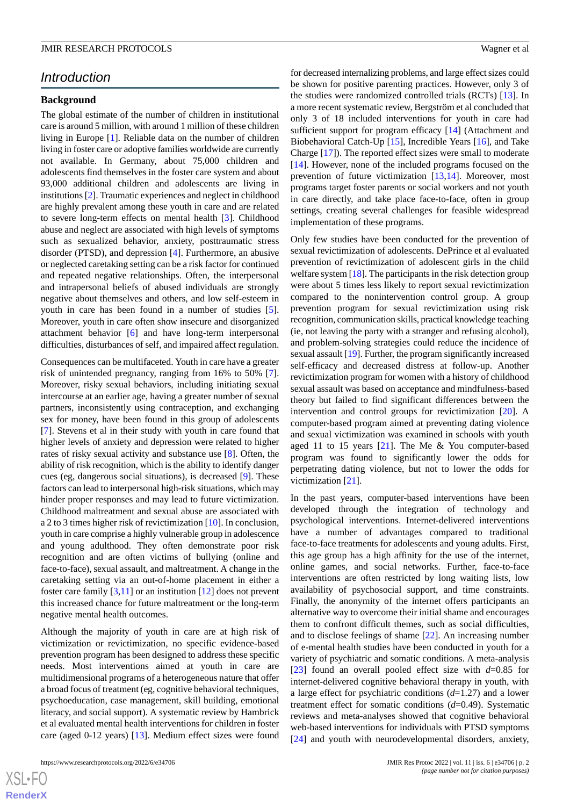## *Introduction*

#### **Background**

The global estimate of the number of children in institutional care is around 5 million, with around 1 million of these children living in Europe [\[1](#page-7-0)]. Reliable data on the number of children living in foster care or adoptive families worldwide are currently not available. In Germany, about 75,000 children and adolescents find themselves in the foster care system and about 93,000 additional children and adolescents are living in institutions [[2\]](#page-7-1). Traumatic experiences and neglect in childhood are highly prevalent among these youth in care and are related to severe long-term effects on mental health [\[3\]](#page-7-2). Childhood abuse and neglect are associated with high levels of symptoms such as sexualized behavior, anxiety, posttraumatic stress disorder (PTSD), and depression [[4\]](#page-7-3). Furthermore, an abusive or neglected caretaking setting can be a risk factor for continued and repeated negative relationships. Often, the interpersonal and intrapersonal beliefs of abused individuals are strongly negative about themselves and others, and low self-esteem in youth in care has been found in a number of studies [[5\]](#page-7-4). Moreover, youth in care often show insecure and disorganized attachment behavior [[6\]](#page-7-5) and have long-term interpersonal difficulties, disturbances of self, and impaired affect regulation.

Consequences can be multifaceted. Youth in care have a greater risk of unintended pregnancy, ranging from 16% to 50% [[7\]](#page-7-6). Moreover, risky sexual behaviors, including initiating sexual intercourse at an earlier age, having a greater number of sexual partners, inconsistently using contraception, and exchanging sex for money, have been found in this group of adolescents [[7\]](#page-7-6). Stevens et al in their study with youth in care found that higher levels of anxiety and depression were related to higher rates of risky sexual activity and substance use [[8\]](#page-7-7). Often, the ability of risk recognition, which is the ability to identify danger cues (eg, dangerous social situations), is decreased [[9\]](#page-7-8). These factors can lead to interpersonal high-risk situations, which may hinder proper responses and may lead to future victimization. Childhood maltreatment and sexual abuse are associated with a 2 to 3 times higher risk of revictimization [[10\]](#page-7-9). In conclusion, youth in care comprise a highly vulnerable group in adolescence and young adulthood. They often demonstrate poor risk recognition and are often victims of bullying (online and face-to-face), sexual assault, and maltreatment. A change in the caretaking setting via an out-of-home placement in either a foster care family [\[3](#page-7-2),[11\]](#page-7-10) or an institution [\[12](#page-7-11)] does not prevent this increased chance for future maltreatment or the long-term negative mental health outcomes.

Although the majority of youth in care are at high risk of victimization or revictimization, no specific evidence-based prevention program has been designed to address these specific needs. Most interventions aimed at youth in care are multidimensional programs of a heterogeneous nature that offer a broad focus of treatment (eg, cognitive behavioral techniques, psychoeducation, case management, skill building, emotional literacy, and social support). A systematic review by Hambrick et al evaluated mental health interventions for children in foster care (aged 0-12 years) [[13\]](#page-7-12). Medium effect sizes were found

for decreased internalizing problems, and large effect sizes could be shown for positive parenting practices. However, only 3 of the studies were randomized controlled trials (RCTs) [[13\]](#page-7-12). In a more recent systematic review, Bergström et al concluded that only 3 of 18 included interventions for youth in care had sufficient support for program efficacy [\[14](#page-7-13)] (Attachment and Biobehavioral Catch-Up [[15\]](#page-7-14), Incredible Years [[16\]](#page-7-15), and Take Charge [\[17](#page-7-16)]). The reported effect sizes were small to moderate [[14\]](#page-7-13). However, none of the included programs focused on the prevention of future victimization [[13](#page-7-12)[,14](#page-7-13)]. Moreover, most programs target foster parents or social workers and not youth in care directly, and take place face-to-face, often in group settings, creating several challenges for feasible widespread implementation of these programs.

Only few studies have been conducted for the prevention of sexual revictimization of adolescents. DePrince et al evaluated prevention of revictimization of adolescent girls in the child welfare system [[18\]](#page-7-17). The participants in the risk detection group were about 5 times less likely to report sexual revictimization compared to the nonintervention control group. A group prevention program for sexual revictimization using risk recognition, communication skills, practical knowledge teaching (ie, not leaving the party with a stranger and refusing alcohol), and problem-solving strategies could reduce the incidence of sexual assault [\[19](#page-7-18)]. Further, the program significantly increased self-efficacy and decreased distress at follow-up. Another revictimization program for women with a history of childhood sexual assault was based on acceptance and mindfulness-based theory but failed to find significant differences between the intervention and control groups for revictimization [\[20](#page-7-19)]. A computer-based program aimed at preventing dating violence and sexual victimization was examined in schools with youth aged 11 to 15 years  $[21]$  $[21]$ . The Me & You computer-based program was found to significantly lower the odds for perpetrating dating violence, but not to lower the odds for victimization [\[21](#page-7-20)].

In the past years, computer-based interventions have been developed through the integration of technology and psychological interventions. Internet-delivered interventions have a number of advantages compared to traditional face-to-face treatments for adolescents and young adults. First, this age group has a high affinity for the use of the internet, online games, and social networks. Further, face-to-face interventions are often restricted by long waiting lists, low availability of psychosocial support, and time constraints. Finally, the anonymity of the internet offers participants an alternative way to overcome their initial shame and encourages them to confront difficult themes, such as social difficulties, and to disclose feelings of shame [\[22](#page-8-0)]. An increasing number of e-mental health studies have been conducted in youth for a variety of psychiatric and somatic conditions. A meta-analysis [[23\]](#page-8-1) found an overall pooled effect size with *d*=0.85 for internet-delivered cognitive behavioral therapy in youth, with a large effect for psychiatric conditions (*d*=1.27) and a lower treatment effect for somatic conditions (*d*=0.49). Systematic reviews and meta-analyses showed that cognitive behavioral web-based interventions for individuals with PTSD symptoms [[24\]](#page-8-2) and youth with neurodevelopmental disorders, anxiety,

 $XS$  $\cdot$ FC **[RenderX](http://www.renderx.com/)**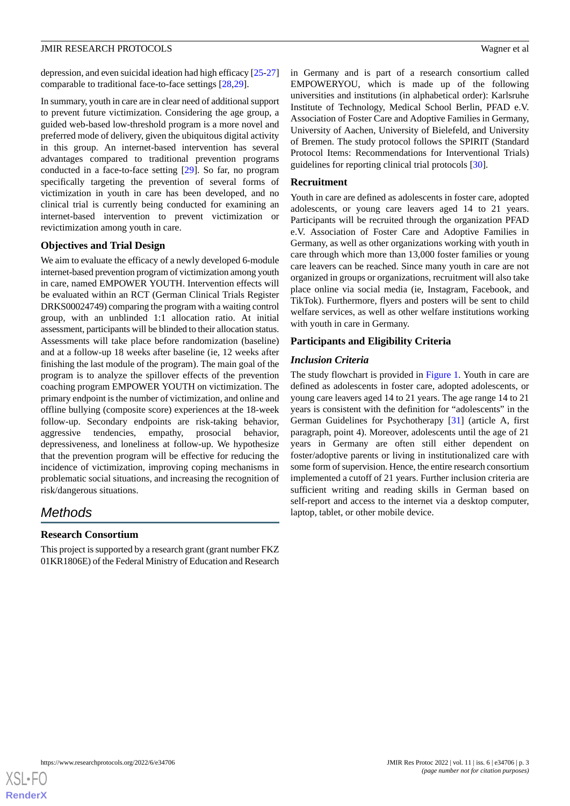depression, and even suicidal ideation had high efficacy [\[25](#page-8-3)[-27](#page-8-4)] comparable to traditional face-to-face settings [[28](#page-8-5)[,29](#page-8-6)].

In summary, youth in care are in clear need of additional support to prevent future victimization. Considering the age group, a guided web-based low-threshold program is a more novel and preferred mode of delivery, given the ubiquitous digital activity in this group. An internet-based intervention has several advantages compared to traditional prevention programs conducted in a face-to-face setting [[29\]](#page-8-6). So far, no program specifically targeting the prevention of several forms of victimization in youth in care has been developed, and no clinical trial is currently being conducted for examining an internet-based intervention to prevent victimization or revictimization among youth in care.

### **Objectives and Trial Design**

We aim to evaluate the efficacy of a newly developed 6-module internet-based prevention program of victimization among youth in care, named EMPOWER YOUTH. Intervention effects will be evaluated within an RCT (German Clinical Trials Register DRKS00024749) comparing the program with a waiting control group, with an unblinded 1:1 allocation ratio. At initial assessment, participants will be blinded to their allocation status. Assessments will take place before randomization (baseline) and at a follow-up 18 weeks after baseline (ie, 12 weeks after finishing the last module of the program). The main goal of the program is to analyze the spillover effects of the prevention coaching program EMPOWER YOUTH on victimization. The primary endpoint is the number of victimization, and online and offline bullying (composite score) experiences at the 18-week follow-up. Secondary endpoints are risk-taking behavior, aggressive tendencies, empathy, prosocial behavior, depressiveness, and loneliness at follow-up. We hypothesize that the prevention program will be effective for reducing the incidence of victimization, improving coping mechanisms in problematic social situations, and increasing the recognition of risk/dangerous situations.

## *Methods*

## **Research Consortium**

This project is supported by a research grant (grant number FKZ 01KR1806E) of the Federal Ministry of Education and Research in Germany and is part of a research consortium called EMPOWERYOU, which is made up of the following universities and institutions (in alphabetical order): Karlsruhe Institute of Technology, Medical School Berlin, PFAD e.V. Association of Foster Care and Adoptive Families in Germany, University of Aachen, University of Bielefeld, and University of Bremen. The study protocol follows the SPIRIT (Standard Protocol Items: Recommendations for Interventional Trials) guidelines for reporting clinical trial protocols [\[30](#page-8-7)].

## **Recruitment**

Youth in care are defined as adolescents in foster care, adopted adolescents, or young care leavers aged 14 to 21 years. Participants will be recruited through the organization PFAD e.V. Association of Foster Care and Adoptive Families in Germany, as well as other organizations working with youth in care through which more than 13,000 foster families or young care leavers can be reached. Since many youth in care are not organized in groups or organizations, recruitment will also take place online via social media (ie, Instagram, Facebook, and TikTok). Furthermore, flyers and posters will be sent to child welfare services, as well as other welfare institutions working with youth in care in Germany.

## **Participants and Eligibility Criteria**

## *Inclusion Criteria*

The study flowchart is provided in [Figure 1.](#page-3-0) Youth in care are defined as adolescents in foster care, adopted adolescents, or young care leavers aged 14 to 21 years. The age range 14 to 21 years is consistent with the definition for "adolescents" in the German Guidelines for Psychotherapy [[31\]](#page-8-8) (article A, first paragraph, point 4). Moreover, adolescents until the age of 21 years in Germany are often still either dependent on foster/adoptive parents or living in institutionalized care with some form of supervision. Hence, the entire research consortium implemented a cutoff of 21 years. Further inclusion criteria are sufficient writing and reading skills in German based on self-report and access to the internet via a desktop computer, laptop, tablet, or other mobile device.

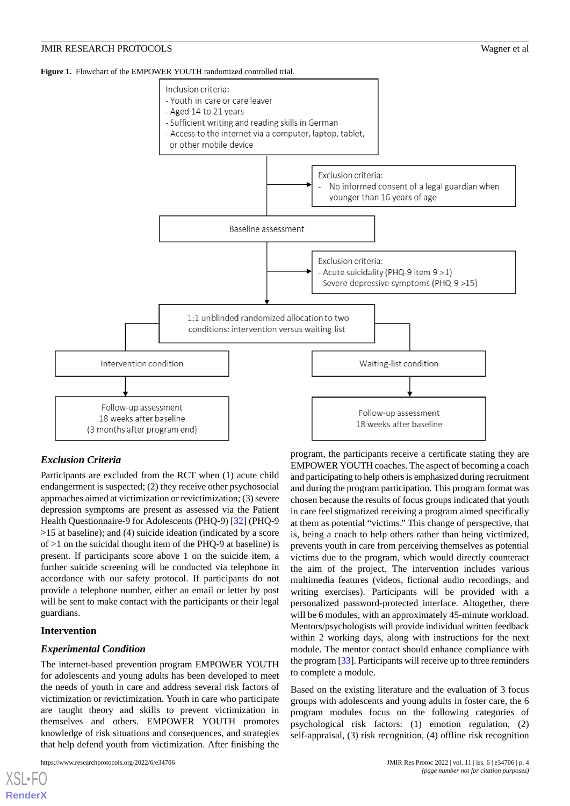<span id="page-3-0"></span>**Figure 1.** Flowchart of the EMPOWER YOUTH randomized controlled trial.



## *Exclusion Criteria*

Participants are excluded from the RCT when (1) acute child endangerment is suspected; (2) they receive other psychosocial approaches aimed at victimization or revictimization; (3) severe depression symptoms are present as assessed via the Patient Health Questionnaire-9 for Adolescents (PHQ-9) [\[32](#page-8-9)] (PHQ-9 >15 at baseline); and (4) suicide ideation (indicated by a score of  $>1$  on the suicidal thought item of the PHQ-9 at baseline) is present. If participants score above 1 on the suicide item, a further suicide screening will be conducted via telephone in accordance with our safety protocol. If participants do not provide a telephone number, either an email or letter by post will be sent to make contact with the participants or their legal guardians.

#### **Intervention**

[XSL](http://www.w3.org/Style/XSL)•FO **[RenderX](http://www.renderx.com/)**

#### *Experimental Condition*

The internet-based prevention program EMPOWER YOUTH for adolescents and young adults has been developed to meet the needs of youth in care and address several risk factors of victimization or revictimization. Youth in care who participate are taught theory and skills to prevent victimization in themselves and others. EMPOWER YOUTH promotes knowledge of risk situations and consequences, and strategies that help defend youth from victimization. After finishing the

```
https://www.researchprotocols.org/2022/6/e34706 JMIR Res Protoc 2022 | vol. 11 | iss. 6 | e34706 | p. 4
```
program, the participants receive a certificate stating they are EMPOWER YOUTH coaches. The aspect of becoming a coach and participating to help others is emphasized during recruitment and during the program participation. This program format was chosen because the results of focus groups indicated that youth in care feel stigmatized receiving a program aimed specifically at them as potential "victims." This change of perspective, that is, being a coach to help others rather than being victimized, prevents youth in care from perceiving themselves as potential victims due to the program, which would directly counteract the aim of the project. The intervention includes various multimedia features (videos, fictional audio recordings, and writing exercises). Participants will be provided with a personalized password-protected interface. Altogether, there will be 6 modules, with an approximately 45-minute workload. Mentors/psychologists will provide individual written feedback within 2 working days, along with instructions for the next module. The mentor contact should enhance compliance with the program [\[33](#page-8-10)]. Participants will receive up to three reminders to complete a module.

Based on the existing literature and the evaluation of 3 focus groups with adolescents and young adults in foster care, the 6 program modules focus on the following categories of psychological risk factors: (1) emotion regulation, (2) self-appraisal, (3) risk recognition, (4) offline risk recognition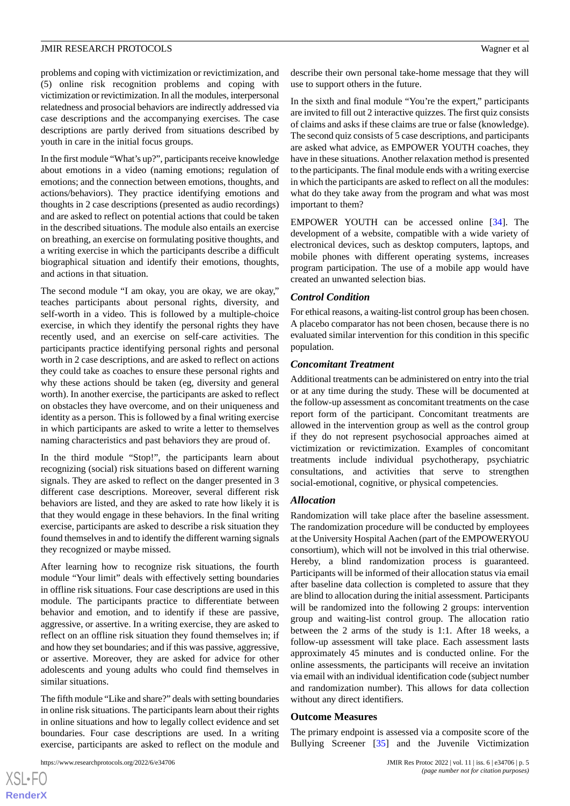problems and coping with victimization or revictimization, and (5) online risk recognition problems and coping with victimization or revictimization. In all the modules, interpersonal relatedness and prosocial behaviors are indirectly addressed via case descriptions and the accompanying exercises. The case descriptions are partly derived from situations described by youth in care in the initial focus groups.

In the first module "What's up?", participants receive knowledge about emotions in a video (naming emotions; regulation of emotions; and the connection between emotions, thoughts, and actions/behaviors). They practice identifying emotions and thoughts in 2 case descriptions (presented as audio recordings) and are asked to reflect on potential actions that could be taken in the described situations. The module also entails an exercise on breathing, an exercise on formulating positive thoughts, and a writing exercise in which the participants describe a difficult biographical situation and identify their emotions, thoughts, and actions in that situation.

The second module "I am okay, you are okay, we are okay," teaches participants about personal rights, diversity, and self-worth in a video. This is followed by a multiple-choice exercise, in which they identify the personal rights they have recently used, and an exercise on self-care activities. The participants practice identifying personal rights and personal worth in 2 case descriptions, and are asked to reflect on actions they could take as coaches to ensure these personal rights and why these actions should be taken (eg, diversity and general worth). In another exercise, the participants are asked to reflect on obstacles they have overcome, and on their uniqueness and identity as a person. This is followed by a final writing exercise in which participants are asked to write a letter to themselves naming characteristics and past behaviors they are proud of.

In the third module "Stop!", the participants learn about recognizing (social) risk situations based on different warning signals. They are asked to reflect on the danger presented in 3 different case descriptions. Moreover, several different risk behaviors are listed, and they are asked to rate how likely it is that they would engage in these behaviors. In the final writing exercise, participants are asked to describe a risk situation they found themselves in and to identify the different warning signals they recognized or maybe missed.

After learning how to recognize risk situations, the fourth module "Your limit" deals with effectively setting boundaries in offline risk situations. Four case descriptions are used in this module. The participants practice to differentiate between behavior and emotion, and to identify if these are passive, aggressive, or assertive. In a writing exercise, they are asked to reflect on an offline risk situation they found themselves in; if and how they set boundaries; and if this was passive, aggressive, or assertive. Moreover, they are asked for advice for other adolescents and young adults who could find themselves in similar situations.

The fifth module "Like and share?" deals with setting boundaries in online risk situations. The participants learn about their rights in online situations and how to legally collect evidence and set boundaries. Four case descriptions are used. In a writing exercise, participants are asked to reflect on the module and

https://www.researchprotocols.org/2022/6/e34706 JMIR Res Protoc 2022 | vol. 11 | iss. 6 | e34706 | p. 5

describe their own personal take-home message that they will use to support others in the future.

In the sixth and final module "You're the expert," participants are invited to fill out 2 interactive quizzes. The first quiz consists of claims and asks if these claims are true or false (knowledge). The second quiz consists of 5 case descriptions, and participants are asked what advice, as EMPOWER YOUTH coaches, they have in these situations. Another relaxation method is presented to the participants. The final module ends with a writing exercise in which the participants are asked to reflect on all the modules: what do they take away from the program and what was most important to them?

EMPOWER YOUTH can be accessed online [[34\]](#page-8-11). The development of a website, compatible with a wide variety of electronical devices, such as desktop computers, laptops, and mobile phones with different operating systems, increases program participation. The use of a mobile app would have created an unwanted selection bias.

#### *Control Condition*

For ethical reasons, a waiting-list control group has been chosen. A placebo comparator has not been chosen, because there is no evaluated similar intervention for this condition in this specific population.

#### *Concomitant Treatment*

Additional treatments can be administered on entry into the trial or at any time during the study. These will be documented at the follow-up assessment as concomitant treatments on the case report form of the participant. Concomitant treatments are allowed in the intervention group as well as the control group if they do not represent psychosocial approaches aimed at victimization or revictimization. Examples of concomitant treatments include individual psychotherapy, psychiatric consultations, and activities that serve to strengthen social-emotional, cognitive, or physical competencies.

#### *Allocation*

Randomization will take place after the baseline assessment. The randomization procedure will be conducted by employees at the University Hospital Aachen (part of the EMPOWERYOU consortium), which will not be involved in this trial otherwise. Hereby, a blind randomization process is guaranteed. Participants will be informed of their allocation status via email after baseline data collection is completed to assure that they are blind to allocation during the initial assessment. Participants will be randomized into the following 2 groups: intervention group and waiting-list control group. The allocation ratio between the 2 arms of the study is 1:1. After 18 weeks, a follow-up assessment will take place. Each assessment lasts approximately 45 minutes and is conducted online. For the online assessments, the participants will receive an invitation via email with an individual identification code (subject number and randomization number). This allows for data collection without any direct identifiers.

#### **Outcome Measures**

The primary endpoint is assessed via a composite score of the Bullying Screener [\[35](#page-8-12)] and the Juvenile Victimization

[XSL](http://www.w3.org/Style/XSL)•FO **[RenderX](http://www.renderx.com/)**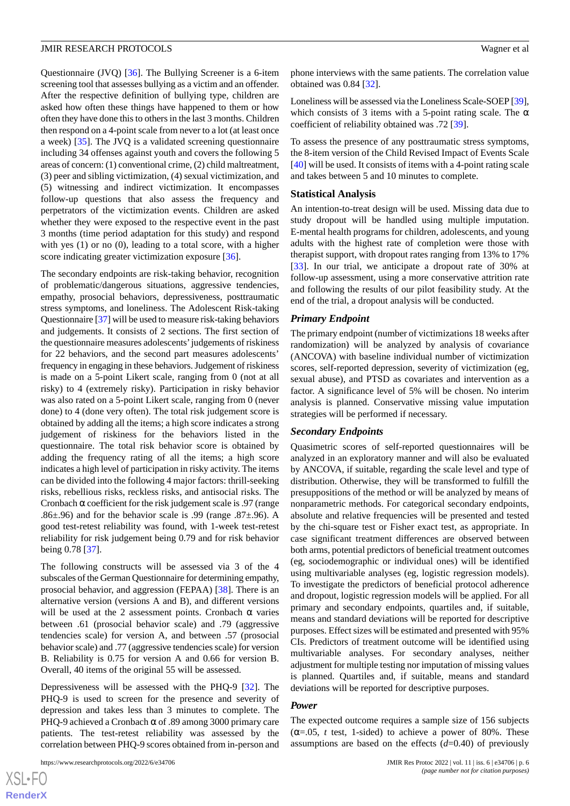Questionnaire (JVQ) [[36\]](#page-8-13). The Bullying Screener is a 6-item screening tool that assesses bullying as a victim and an offender. After the respective definition of bullying type, children are asked how often these things have happened to them or how often they have done this to others in the last 3 months. Children then respond on a 4-point scale from never to a lot (at least once a week) [[35\]](#page-8-12). The JVQ is a validated screening questionnaire including 34 offenses against youth and covers the following 5 areas of concern: (1) conventional crime, (2) child maltreatment, (3) peer and sibling victimization, (4) sexual victimization, and (5) witnessing and indirect victimization. It encompasses follow-up questions that also assess the frequency and perpetrators of the victimization events. Children are asked whether they were exposed to the respective event in the past 3 months (time period adaptation for this study) and respond with yes (1) or no (0), leading to a total score, with a higher score indicating greater victimization exposure [[36\]](#page-8-13).

The secondary endpoints are risk-taking behavior, recognition of problematic/dangerous situations, aggressive tendencies, empathy, prosocial behaviors, depressiveness, posttraumatic stress symptoms, and loneliness. The Adolescent Risk-taking Questionnaire [\[37](#page-8-14)] will be used to measure risk-taking behaviors and judgements. It consists of 2 sections. The first section of the questionnaire measures adolescents'judgements of riskiness for 22 behaviors, and the second part measures adolescents' frequency in engaging in these behaviors. Judgement of riskiness is made on a 5-point Likert scale, ranging from 0 (not at all risky) to 4 (extremely risky). Participation in risky behavior was also rated on a 5-point Likert scale, ranging from 0 (never done) to 4 (done very often). The total risk judgement score is obtained by adding all the items; a high score indicates a strong judgement of riskiness for the behaviors listed in the questionnaire. The total risk behavior score is obtained by adding the frequency rating of all the items; a high score indicates a high level of participation in risky activity. The items can be divided into the following 4 major factors: thrill-seeking risks, rebellious risks, reckless risks, and antisocial risks. The Cronbach  $\alpha$  coefficient for the risk judgement scale is .97 (range .86 $\pm$ .96) and for the behavior scale is .99 (range .87 $\pm$ .96). A good test-retest reliability was found, with 1-week test-retest reliability for risk judgement being 0.79 and for risk behavior being 0.78 [[37\]](#page-8-14).

The following constructs will be assessed via 3 of the 4 subscales of the German Questionnaire for determining empathy, prosocial behavior, and aggression (FEPAA) [[38\]](#page-8-15). There is an alternative version (versions A and B), and different versions will be used at the 2 assessment points. Cronbach  $\alpha$  varies between .61 (prosocial behavior scale) and .79 (aggressive tendencies scale) for version A, and between .57 (prosocial behavior scale) and .77 (aggressive tendencies scale) for version B. Reliability is 0.75 for version A and 0.66 for version B. Overall, 40 items of the original 55 will be assessed.

Depressiveness will be assessed with the PHQ-9 [[32\]](#page-8-9). The PHQ-9 is used to screen for the presence and severity of depression and takes less than 3 minutes to complete. The PHQ-9 achieved a Cronbach  $\alpha$  of .89 among 3000 primary care patients. The test-retest reliability was assessed by the correlation between PHQ-9 scores obtained from in-person and

phone interviews with the same patients. The correlation value obtained was 0.84 [[32\]](#page-8-9).

Loneliness will be assessed via the Loneliness Scale-SOEP [\[39](#page-8-16)], which consists of 3 items with a 5-point rating scale. The  $\alpha$ coefficient of reliability obtained was .72 [[39\]](#page-8-16).

To assess the presence of any posttraumatic stress symptoms, the 8-item version of the Child Revised Impact of Events Scale [[40\]](#page-8-17) will be used. It consists of items with a 4-point rating scale and takes between 5 and 10 minutes to complete.

#### **Statistical Analysis**

An intention-to-treat design will be used. Missing data due to study dropout will be handled using multiple imputation. E-mental health programs for children, adolescents, and young adults with the highest rate of completion were those with therapist support, with dropout rates ranging from 13% to 17% [[33\]](#page-8-10). In our trial, we anticipate a dropout rate of 30% at follow-up assessment, using a more conservative attrition rate and following the results of our pilot feasibility study. At the end of the trial, a dropout analysis will be conducted.

#### *Primary Endpoint*

The primary endpoint (number of victimizations 18 weeks after randomization) will be analyzed by analysis of covariance (ANCOVA) with baseline individual number of victimization scores, self-reported depression, severity of victimization (eg, sexual abuse), and PTSD as covariates and intervention as a factor. A significance level of 5% will be chosen. No interim analysis is planned. Conservative missing value imputation strategies will be performed if necessary.

#### *Secondary Endpoints*

Quasimetric scores of self-reported questionnaires will be analyzed in an exploratory manner and will also be evaluated by ANCOVA, if suitable, regarding the scale level and type of distribution. Otherwise, they will be transformed to fulfill the presuppositions of the method or will be analyzed by means of nonparametric methods. For categorical secondary endpoints, absolute and relative frequencies will be presented and tested by the chi-square test or Fisher exact test, as appropriate. In case significant treatment differences are observed between both arms, potential predictors of beneficial treatment outcomes (eg, sociodemographic or individual ones) will be identified using multivariable analyses (eg, logistic regression models). To investigate the predictors of beneficial protocol adherence and dropout, logistic regression models will be applied. For all primary and secondary endpoints, quartiles and, if suitable, means and standard deviations will be reported for descriptive purposes. Effect sizes will be estimated and presented with 95% CIs. Predictors of treatment outcome will be identified using multivariable analyses. For secondary analyses, neither adjustment for multiple testing nor imputation of missing values is planned. Quartiles and, if suitable, means and standard deviations will be reported for descriptive purposes.

#### *Power*

The expected outcome requires a sample size of 156 subjects  $(\alpha = 0.05, t \text{ test}, 1 \text{-sided})$  to achieve a power of 80%. These assumptions are based on the effects (*d*=0.40) of previously

[XSL](http://www.w3.org/Style/XSL)•FO **[RenderX](http://www.renderx.com/)**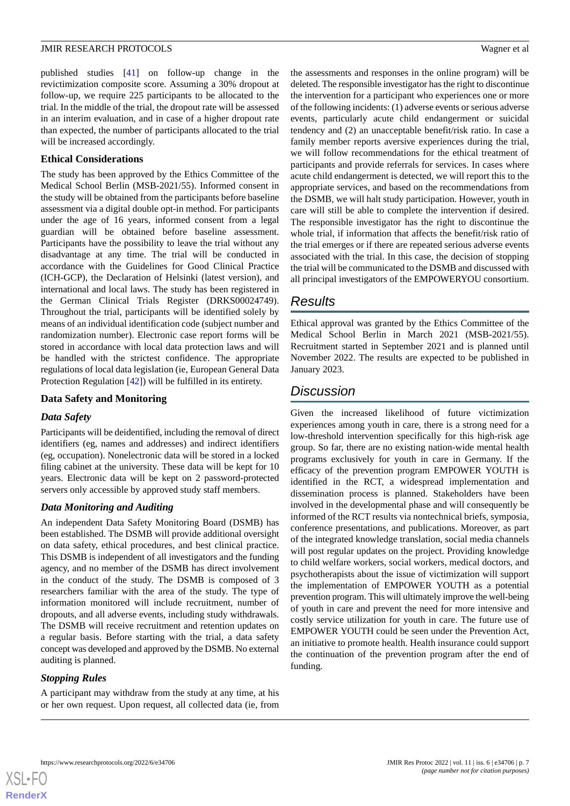published studies [\[41](#page-8-18)] on follow-up change in the revictimization composite score. Assuming a 30% dropout at follow-up, we require 225 participants to be allocated to the trial. In the middle of the trial, the dropout rate will be assessed in an interim evaluation, and in case of a higher dropout rate than expected, the number of participants allocated to the trial will be increased accordingly.

### **Ethical Considerations**

The study has been approved by the Ethics Committee of the Medical School Berlin (MSB-2021/55). Informed consent in the study will be obtained from the participants before baseline assessment via a digital double opt-in method. For participants under the age of 16 years, informed consent from a legal guardian will be obtained before baseline assessment. Participants have the possibility to leave the trial without any disadvantage at any time. The trial will be conducted in accordance with the Guidelines for Good Clinical Practice (ICH-GCP), the Declaration of Helsinki (latest version), and international and local laws. The study has been registered in the German Clinical Trials Register (DRKS00024749). Throughout the trial, participants will be identified solely by means of an individual identification code (subject number and randomization number). Electronic case report forms will be stored in accordance with local data protection laws and will be handled with the strictest confidence. The appropriate regulations of local data legislation (ie, European General Data Protection Regulation [[42\]](#page-8-19)) will be fulfilled in its entirety.

### **Data Safety and Monitoring**

## *Data Safety*

Participants will be deidentified, including the removal of direct identifiers (eg, names and addresses) and indirect identifiers (eg, occupation). Nonelectronic data will be stored in a locked filing cabinet at the university. These data will be kept for 10 years. Electronic data will be kept on 2 password-protected servers only accessible by approved study staff members.

## *Data Monitoring and Auditing*

An independent Data Safety Monitoring Board (DSMB) has been established. The DSMB will provide additional oversight on data safety, ethical procedures, and best clinical practice. This DSMB is independent of all investigators and the funding agency, and no member of the DSMB has direct involvement in the conduct of the study. The DSMB is composed of 3 researchers familiar with the area of the study. The type of information monitored will include recruitment, number of dropouts, and all adverse events, including study withdrawals. The DSMB will receive recruitment and retention updates on a regular basis. Before starting with the trial, a data safety concept was developed and approved by the DSMB. No external auditing is planned.

## *Stopping Rules*

A participant may withdraw from the study at any time, at his or her own request. Upon request, all collected data (ie, from

the assessments and responses in the online program) will be deleted. The responsible investigator has the right to discontinue the intervention for a participant who experiences one or more of the following incidents: (1) adverse events or serious adverse events, particularly acute child endangerment or suicidal tendency and (2) an unacceptable benefit/risk ratio. In case a family member reports aversive experiences during the trial, we will follow recommendations for the ethical treatment of participants and provide referrals for services. In cases where acute child endangerment is detected, we will report this to the appropriate services, and based on the recommendations from the DSMB, we will halt study participation. However, youth in care will still be able to complete the intervention if desired. The responsible investigator has the right to discontinue the whole trial, if information that affects the benefit/risk ratio of the trial emerges or if there are repeated serious adverse events associated with the trial. In this case, the decision of stopping the trial will be communicated to the DSMB and discussed with all principal investigators of the EMPOWERYOU consortium.

## *Results*

Ethical approval was granted by the Ethics Committee of the Medical School Berlin in March 2021 (MSB-2021/55). Recruitment started in September 2021 and is planned until November 2022. The results are expected to be published in January 2023.

## *Discussion*

Given the increased likelihood of future victimization experiences among youth in care, there is a strong need for a low-threshold intervention specifically for this high-risk age group. So far, there are no existing nation-wide mental health programs exclusively for youth in care in Germany. If the efficacy of the prevention program EMPOWER YOUTH is identified in the RCT, a widespread implementation and dissemination process is planned. Stakeholders have been involved in the developmental phase and will consequently be informed of the RCT results via nontechnical briefs, symposia, conference presentations, and publications. Moreover, as part of the integrated knowledge translation, social media channels will post regular updates on the project. Providing knowledge to child welfare workers, social workers, medical doctors, and psychotherapists about the issue of victimization will support the implementation of EMPOWER YOUTH as a potential prevention program. This will ultimately improve the well-being of youth in care and prevent the need for more intensive and costly service utilization for youth in care. The future use of EMPOWER YOUTH could be seen under the Prevention Act, an initiative to promote health. Health insurance could support the continuation of the prevention program after the end of funding.

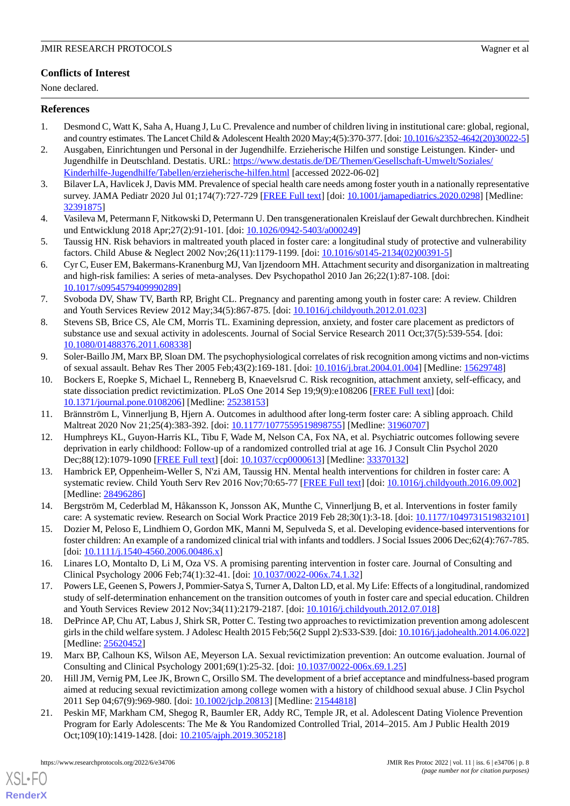## **Conflicts of Interest**

None declared.

## <span id="page-7-0"></span>**References**

- <span id="page-7-1"></span>1. Desmond C, Watt K, Saha A, Huang J, Lu C. Prevalence and number of children living in institutional care: global, regional, and country estimates. The Lancet Child & Adolescent Health 2020 May;4(5):370-377. [doi: [10.1016/s2352-4642\(20\)30022-5\]](http://dx.doi.org/10.1016/s2352-4642(20)30022-5)
- <span id="page-7-2"></span>2. Ausgaben, Einrichtungen und Personal in der Jugendhilfe. Erzieherische Hilfen und sonstige Leistungen. Kinder- und Jugendhilfe in Deutschland. Destatis. URL: [https://www.destatis.de/DE/Themen/Gesellschaft-Umwelt/Soziales/](https://www.destatis.de/DE/Themen/Gesellschaft-Umwelt/Soziales/Kinderhilfe-Jugendhilfe/Tabellen/erzieherische-hilfen.html) [Kinderhilfe-Jugendhilfe/Tabellen/erzieherische-hilfen.html](https://www.destatis.de/DE/Themen/Gesellschaft-Umwelt/Soziales/Kinderhilfe-Jugendhilfe/Tabellen/erzieherische-hilfen.html) [accessed 2022-06-02]
- <span id="page-7-3"></span>3. Bilaver LA, Havlicek J, Davis MM. Prevalence of special health care needs among foster youth in a nationally representative survey. JAMA Pediatr 2020 Jul 01;174(7):727-729 [\[FREE Full text\]](http://europepmc.org/abstract/MED/32391875) [doi: [10.1001/jamapediatrics.2020.0298\]](http://dx.doi.org/10.1001/jamapediatrics.2020.0298) [Medline: [32391875](http://www.ncbi.nlm.nih.gov/entrez/query.fcgi?cmd=Retrieve&db=PubMed&list_uids=32391875&dopt=Abstract)]
- <span id="page-7-4"></span>4. Vasileva M, Petermann F, Nitkowski D, Petermann U. Den transgenerationalen Kreislauf der Gewalt durchbrechen. Kindheit und Entwicklung 2018 Apr;27(2):91-101. [doi: [10.1026/0942-5403/a000249\]](http://dx.doi.org/10.1026/0942-5403/a000249)
- <span id="page-7-5"></span>5. Taussig HN. Risk behaviors in maltreated youth placed in foster care: a longitudinal study of protective and vulnerability factors. Child Abuse & Neglect 2002 Nov;26(11):1179-1199. [doi: [10.1016/s0145-2134\(02\)00391-5\]](http://dx.doi.org/10.1016/s0145-2134(02)00391-5)
- <span id="page-7-6"></span>6. Cyr C, Euser EM, Bakermans-Kranenburg MJ, Van Ijzendoorn MH. Attachment security and disorganization in maltreating and high-risk families: A series of meta-analyses. Dev Psychopathol 2010 Jan 26;22(1):87-108. [doi: [10.1017/s0954579409990289\]](http://dx.doi.org/10.1017/s0954579409990289)
- <span id="page-7-7"></span>7. Svoboda DV, Shaw TV, Barth RP, Bright CL. Pregnancy and parenting among youth in foster care: A review. Children and Youth Services Review 2012 May;34(5):867-875. [doi: [10.1016/j.childyouth.2012.01.023](http://dx.doi.org/10.1016/j.childyouth.2012.01.023)]
- <span id="page-7-8"></span>8. Stevens SB, Brice CS, Ale CM, Morris TL. Examining depression, anxiety, and foster care placement as predictors of substance use and sexual activity in adolescents. Journal of Social Service Research 2011 Oct;37(5):539-554. [doi: [10.1080/01488376.2011.608338\]](http://dx.doi.org/10.1080/01488376.2011.608338)
- <span id="page-7-9"></span>9. Soler-Baillo JM, Marx BP, Sloan DM. The psychophysiological correlates of risk recognition among victims and non-victims of sexual assault. Behav Res Ther 2005 Feb;43(2):169-181. [doi: [10.1016/j.brat.2004.01.004](http://dx.doi.org/10.1016/j.brat.2004.01.004)] [Medline: [15629748](http://www.ncbi.nlm.nih.gov/entrez/query.fcgi?cmd=Retrieve&db=PubMed&list_uids=15629748&dopt=Abstract)]
- <span id="page-7-11"></span><span id="page-7-10"></span>10. Bockers E, Roepke S, Michael L, Renneberg B, Knaevelsrud C. Risk recognition, attachment anxiety, self-efficacy, and state dissociation predict revictimization. PLoS One 2014 Sep 19;9(9):e108206 [[FREE Full text](https://dx.plos.org/10.1371/journal.pone.0108206)] [doi: [10.1371/journal.pone.0108206\]](http://dx.doi.org/10.1371/journal.pone.0108206) [Medline: [25238153](http://www.ncbi.nlm.nih.gov/entrez/query.fcgi?cmd=Retrieve&db=PubMed&list_uids=25238153&dopt=Abstract)]
- <span id="page-7-12"></span>11. Brännström L, Vinnerljung B, Hjern A. Outcomes in adulthood after long-term foster care: A sibling approach. Child Maltreat 2020 Nov 21;25(4):383-392. [doi: [10.1177/1077559519898755](http://dx.doi.org/10.1177/1077559519898755)] [Medline: [31960707\]](http://www.ncbi.nlm.nih.gov/entrez/query.fcgi?cmd=Retrieve&db=PubMed&list_uids=31960707&dopt=Abstract)
- 12. Humphreys KL, Guyon-Harris KL, Tibu F, Wade M, Nelson CA, Fox NA, et al. Psychiatric outcomes following severe deprivation in early childhood: Follow-up of a randomized controlled trial at age 16. J Consult Clin Psychol 2020 Dec;88(12):1079-1090 [\[FREE Full text](http://europepmc.org/abstract/MED/33370132)] [doi: [10.1037/ccp0000613\]](http://dx.doi.org/10.1037/ccp0000613) [Medline: [33370132\]](http://www.ncbi.nlm.nih.gov/entrez/query.fcgi?cmd=Retrieve&db=PubMed&list_uids=33370132&dopt=Abstract)
- <span id="page-7-14"></span><span id="page-7-13"></span>13. Hambrick EP, Oppenheim-Weller S, N'zi AM, Taussig HN. Mental health interventions for children in foster care: A systematic review. Child Youth Serv Rev 2016 Nov;70:65-77 [[FREE Full text](http://europepmc.org/abstract/MED/28496286)] [doi: [10.1016/j.childyouth.2016.09.002](http://dx.doi.org/10.1016/j.childyouth.2016.09.002)] [Medline: [28496286](http://www.ncbi.nlm.nih.gov/entrez/query.fcgi?cmd=Retrieve&db=PubMed&list_uids=28496286&dopt=Abstract)]
- <span id="page-7-15"></span>14. Bergström M, Cederblad M, Håkansson K, Jonsson AK, Munthe C, Vinnerljung B, et al. Interventions in foster family care: A systematic review. Research on Social Work Practice 2019 Feb 28;30(1):3-18. [doi: [10.1177/1049731519832101](http://dx.doi.org/10.1177/1049731519832101)]
- <span id="page-7-16"></span>15. Dozier M, Peloso E, Lindhiem O, Gordon MK, Manni M, Sepulveda S, et al. Developing evidence-based interventions for foster children: An example of a randomized clinical trial with infants and toddlers. J Social Issues 2006 Dec;62(4):767-785. [doi: [10.1111/j.1540-4560.2006.00486.x](http://dx.doi.org/10.1111/j.1540-4560.2006.00486.x)]
- <span id="page-7-17"></span>16. Linares LO, Montalto D, Li M, Oza VS. A promising parenting intervention in foster care. Journal of Consulting and Clinical Psychology 2006 Feb;74(1):32-41. [doi: [10.1037/0022-006x.74.1.32](http://dx.doi.org/10.1037/0022-006x.74.1.32)]
- <span id="page-7-18"></span>17. Powers LE, Geenen S, Powers J, Pommier-Satya S, Turner A, Dalton LD, et al. My Life: Effects of a longitudinal, randomized study of self-determination enhancement on the transition outcomes of youth in foster care and special education. Children and Youth Services Review 2012 Nov;34(11):2179-2187. [doi: [10.1016/j.childyouth.2012.07.018](http://dx.doi.org/10.1016/j.childyouth.2012.07.018)]
- <span id="page-7-19"></span>18. DePrince AP, Chu AT, Labus J, Shirk SR, Potter C. Testing two approaches to revictimization prevention among adolescent girls in the child welfare system. J Adolesc Health 2015 Feb;56(2 Suppl 2):S33-S39. [doi: [10.1016/j.jadohealth.2014.06.022\]](http://dx.doi.org/10.1016/j.jadohealth.2014.06.022) [Medline: [25620452](http://www.ncbi.nlm.nih.gov/entrez/query.fcgi?cmd=Retrieve&db=PubMed&list_uids=25620452&dopt=Abstract)]
- <span id="page-7-20"></span>19. Marx BP, Calhoun KS, Wilson AE, Meyerson LA. Sexual revictimization prevention: An outcome evaluation. Journal of Consulting and Clinical Psychology 2001;69(1):25-32. [doi: [10.1037/0022-006x.69.1.25](http://dx.doi.org/10.1037/0022-006x.69.1.25)]
- 20. Hill JM, Vernig PM, Lee JK, Brown C, Orsillo SM. The development of a brief acceptance and mindfulness-based program aimed at reducing sexual revictimization among college women with a history of childhood sexual abuse. J Clin Psychol 2011 Sep 04;67(9):969-980. [doi: [10.1002/jclp.20813](http://dx.doi.org/10.1002/jclp.20813)] [Medline: [21544818](http://www.ncbi.nlm.nih.gov/entrez/query.fcgi?cmd=Retrieve&db=PubMed&list_uids=21544818&dopt=Abstract)]
- 21. Peskin MF, Markham CM, Shegog R, Baumler ER, Addy RC, Temple JR, et al. Adolescent Dating Violence Prevention Program for Early Adolescents: The Me & You Randomized Controlled Trial, 2014–2015. Am J Public Health 2019 Oct;109(10):1419-1428. [doi: [10.2105/ajph.2019.305218](http://dx.doi.org/10.2105/ajph.2019.305218)]

[XSL](http://www.w3.org/Style/XSL)•FO **[RenderX](http://www.renderx.com/)**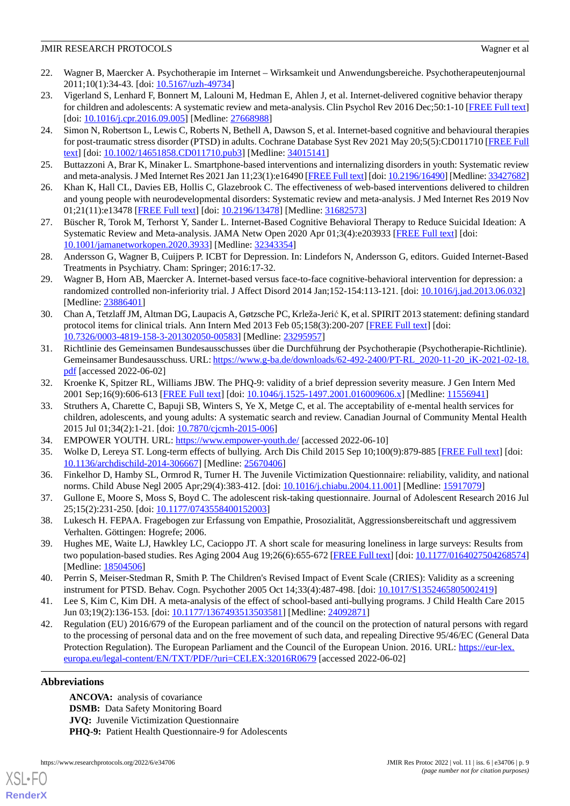- <span id="page-8-0"></span>22. Wagner B, Maercker A. Psychotherapie im Internet – Wirksamkeit und Anwendungsbereiche. Psychotherapeutenjournal 2011;10(1):34-43. [doi: [10.5167/uzh-49734\]](http://dx.doi.org/10.5167/uzh-49734)
- <span id="page-8-1"></span>23. Vigerland S, Lenhard F, Bonnert M, Lalouni M, Hedman E, Ahlen J, et al. Internet-delivered cognitive behavior therapy for children and adolescents: A systematic review and meta-analysis. Clin Psychol Rev 2016 Dec;50:1-10 [[FREE Full text](https://linkinghub.elsevier.com/retrieve/pii/S0272-7358(15)30090-8)] [doi: [10.1016/j.cpr.2016.09.005](http://dx.doi.org/10.1016/j.cpr.2016.09.005)] [Medline: [27668988\]](http://www.ncbi.nlm.nih.gov/entrez/query.fcgi?cmd=Retrieve&db=PubMed&list_uids=27668988&dopt=Abstract)
- <span id="page-8-2"></span>24. Simon N, Robertson L, Lewis C, Roberts N, Bethell A, Dawson S, et al. Internet-based cognitive and behavioural therapies for post-traumatic stress disorder (PTSD) in adults. Cochrane Database Syst Rev 2021 May 20;5(5):CD011710 [\[FREE Full](http://europepmc.org/abstract/MED/34015141) [text](http://europepmc.org/abstract/MED/34015141)] [doi: [10.1002/14651858.CD011710.pub3\]](http://dx.doi.org/10.1002/14651858.CD011710.pub3) [Medline: [34015141](http://www.ncbi.nlm.nih.gov/entrez/query.fcgi?cmd=Retrieve&db=PubMed&list_uids=34015141&dopt=Abstract)]
- <span id="page-8-3"></span>25. Buttazzoni A, Brar K, Minaker L. Smartphone-based interventions and internalizing disorders in youth: Systematic review and meta-analysis. J Med Internet Res 2021 Jan 11;23(1):e16490 [\[FREE Full text](https://www.jmir.org/2021/1/e16490/)] [doi: [10.2196/16490\]](http://dx.doi.org/10.2196/16490) [Medline: [33427682](http://www.ncbi.nlm.nih.gov/entrez/query.fcgi?cmd=Retrieve&db=PubMed&list_uids=33427682&dopt=Abstract)]
- <span id="page-8-4"></span>26. Khan K, Hall CL, Davies EB, Hollis C, Glazebrook C. The effectiveness of web-based interventions delivered to children and young people with neurodevelopmental disorders: Systematic review and meta-analysis. J Med Internet Res 2019 Nov 01;21(11):e13478 [\[FREE Full text](https://www.jmir.org/2019/11/e13478/)] [doi: [10.2196/13478\]](http://dx.doi.org/10.2196/13478) [Medline: [31682573\]](http://www.ncbi.nlm.nih.gov/entrez/query.fcgi?cmd=Retrieve&db=PubMed&list_uids=31682573&dopt=Abstract)
- <span id="page-8-5"></span>27. Büscher R, Torok M, Terhorst Y, Sander L. Internet-Based Cognitive Behavioral Therapy to Reduce Suicidal Ideation: A Systematic Review and Meta-analysis. JAMA Netw Open 2020 Apr 01;3(4):e203933 [[FREE Full text](https://jamanetwork.com/journals/jamanetworkopen/fullarticle/10.1001/jamanetworkopen.2020.3933)] [doi: [10.1001/jamanetworkopen.2020.3933](http://dx.doi.org/10.1001/jamanetworkopen.2020.3933)] [Medline: [32343354](http://www.ncbi.nlm.nih.gov/entrez/query.fcgi?cmd=Retrieve&db=PubMed&list_uids=32343354&dopt=Abstract)]
- <span id="page-8-6"></span>28. Andersson G, Wagner B, Cuijpers P. ICBT for Depression. In: Lindefors N, Andersson G, editors. Guided Internet-Based Treatments in Psychiatry. Cham: Springer; 2016:17-32.
- <span id="page-8-7"></span>29. Wagner B, Horn AB, Maercker A. Internet-based versus face-to-face cognitive-behavioral intervention for depression: a randomized controlled non-inferiority trial. J Affect Disord 2014 Jan;152-154:113-121. [doi: [10.1016/j.jad.2013.06.032](http://dx.doi.org/10.1016/j.jad.2013.06.032)] [Medline: [23886401](http://www.ncbi.nlm.nih.gov/entrez/query.fcgi?cmd=Retrieve&db=PubMed&list_uids=23886401&dopt=Abstract)]
- <span id="page-8-8"></span>30. Chan A, Tetzlaff JM, Altman DG, Laupacis A, Gøtzsche PC, Krleža-Jerić K, et al. SPIRIT 2013 statement: defining standard protocol items for clinical trials. Ann Intern Med 2013 Feb 05;158(3):200-207 [[FREE Full text](https://www.acpjournals.org/doi/abs/10.7326/0003-4819-158-3-201302050-00583?url_ver=Z39.88-2003&rfr_id=ori:rid:crossref.org&rfr_dat=cr_pub%3dpubmed)] [doi: [10.7326/0003-4819-158-3-201302050-00583](http://dx.doi.org/10.7326/0003-4819-158-3-201302050-00583)] [Medline: [23295957](http://www.ncbi.nlm.nih.gov/entrez/query.fcgi?cmd=Retrieve&db=PubMed&list_uids=23295957&dopt=Abstract)]
- <span id="page-8-9"></span>31. Richtlinie des Gemeinsamen Bundesausschusses über die Durchführung der Psychotherapie (Psychotherapie-Richtlinie). Gemeinsamer Bundesausschuss. URL: [https://www.g-ba.de/downloads/62-492-2400/PT-RL\\_2020-11-20\\_iK-2021-02-18.](https://www.g-ba.de/downloads/62-492-2400/PT-RL_2020-11-20_iK-2021-02-18.pdf) [pdf](https://www.g-ba.de/downloads/62-492-2400/PT-RL_2020-11-20_iK-2021-02-18.pdf) [accessed 2022-06-02]
- <span id="page-8-10"></span>32. Kroenke K, Spitzer RL, Williams JBW. The PHQ-9: validity of a brief depression severity measure. J Gen Intern Med 2001 Sep;16(9):606-613 [\[FREE Full text\]](https://onlinelibrary.wiley.com/resolve/openurl?genre=article&sid=nlm:pubmed&issn=0884-8734&date=2001&volume=16&issue=9&spage=606) [doi: [10.1046/j.1525-1497.2001.016009606.x](http://dx.doi.org/10.1046/j.1525-1497.2001.016009606.x)] [Medline: [11556941](http://www.ncbi.nlm.nih.gov/entrez/query.fcgi?cmd=Retrieve&db=PubMed&list_uids=11556941&dopt=Abstract)]
- <span id="page-8-12"></span><span id="page-8-11"></span>33. Struthers A, Charette C, Bapuji SB, Winters S, Ye X, Metge C, et al. The acceptability of e-mental health services for children, adolescents, and young adults: A systematic search and review. Canadian Journal of Community Mental Health 2015 Jul 01;34(2):1-21. [doi: [10.7870/cjcmh-2015-006](http://dx.doi.org/10.7870/cjcmh-2015-006)]
- <span id="page-8-13"></span>34. EMPOWER YOUTH. URL: <https://www.empower-youth.de/> [accessed 2022-06-10]
- <span id="page-8-14"></span>35. Wolke D, Lereya ST. Long-term effects of bullying. Arch Dis Child 2015 Sep 10;100(9):879-885 [\[FREE Full text\]](http://adc.bmj.com/lookup/pmidlookup?view=long&pmid=25670406) [doi: [10.1136/archdischild-2014-306667](http://dx.doi.org/10.1136/archdischild-2014-306667)] [Medline: [25670406](http://www.ncbi.nlm.nih.gov/entrez/query.fcgi?cmd=Retrieve&db=PubMed&list_uids=25670406&dopt=Abstract)]
- <span id="page-8-15"></span>36. Finkelhor D, Hamby SL, Ormrod R, Turner H. The Juvenile Victimization Questionnaire: reliability, validity, and national norms. Child Abuse Negl 2005 Apr;29(4):383-412. [doi: [10.1016/j.chiabu.2004.11.001](http://dx.doi.org/10.1016/j.chiabu.2004.11.001)] [Medline: [15917079](http://www.ncbi.nlm.nih.gov/entrez/query.fcgi?cmd=Retrieve&db=PubMed&list_uids=15917079&dopt=Abstract)]
- <span id="page-8-16"></span>37. Gullone E, Moore S, Moss S, Boyd C. The adolescent risk-taking questionnaire. Journal of Adolescent Research 2016 Jul 25;15(2):231-250. [doi: [10.1177/0743558400152003\]](http://dx.doi.org/10.1177/0743558400152003)
- <span id="page-8-17"></span>38. Lukesch H. FEPAA. Fragebogen zur Erfassung von Empathie, Prosozialität, Aggressionsbereitschaft und aggressivem Verhalten. Göttingen: Hogrefe; 2006.
- <span id="page-8-18"></span>39. Hughes ME, Waite LJ, Hawkley LC, Cacioppo JT. A short scale for measuring loneliness in large surveys: Results from two population-based studies. Res Aging 2004 Aug 19;26(6):655-672 [\[FREE Full text\]](http://europepmc.org/abstract/MED/18504506) [doi: [10.1177/0164027504268574](http://dx.doi.org/10.1177/0164027504268574)] [Medline: [18504506](http://www.ncbi.nlm.nih.gov/entrez/query.fcgi?cmd=Retrieve&db=PubMed&list_uids=18504506&dopt=Abstract)]
- <span id="page-8-19"></span>40. Perrin S, Meiser-Stedman R, Smith P. The Children's Revised Impact of Event Scale (CRIES): Validity as a screening instrument for PTSD. Behav. Cogn. Psychother 2005 Oct 14;33(4):487-498. [doi: [10.1017/S1352465805002419\]](http://dx.doi.org/10.1017/S1352465805002419)
- 41. Lee S, Kim C, Kim DH. A meta-analysis of the effect of school-based anti-bullying programs. J Child Health Care 2015 Jun 03;19(2):136-153. [doi: [10.1177/1367493513503581](http://dx.doi.org/10.1177/1367493513503581)] [Medline: [24092871\]](http://www.ncbi.nlm.nih.gov/entrez/query.fcgi?cmd=Retrieve&db=PubMed&list_uids=24092871&dopt=Abstract)
- 42. Regulation (EU) 2016/679 of the European parliament and of the council on the protection of natural persons with regard to the processing of personal data and on the free movement of such data, and repealing Directive 95/46/EC (General Data Protection Regulation). The European Parliament and the Council of the European Union. 2016. URL: [https://eur-lex.](https://eur-lex.europa.eu/legal-content/EN/TXT/PDF/?uri=CELEX:32016R0679) [europa.eu/legal-content/EN/TXT/PDF/?uri=CELEX:32016R0679](https://eur-lex.europa.eu/legal-content/EN/TXT/PDF/?uri=CELEX:32016R0679) [accessed 2022-06-02]

## **Abbreviations**

[XSL](http://www.w3.org/Style/XSL)•FO **[RenderX](http://www.renderx.com/)**

**ANCOVA:** analysis of covariance **DSMB:** Data Safety Monitoring Board **JVQ:** Juvenile Victimization Questionnaire PHQ-9: Patient Health Questionnaire-9 for Adolescents